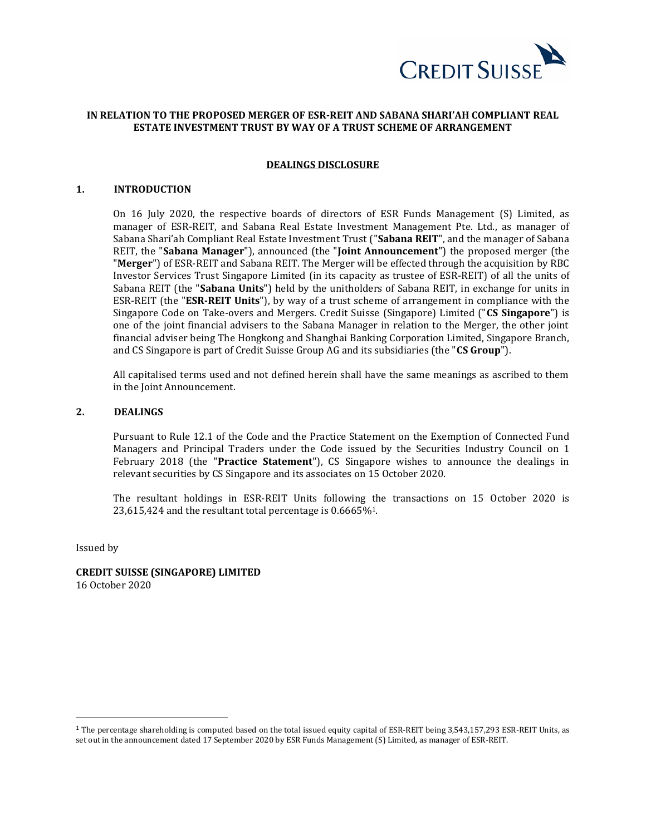

# **IN RELATION TO THE PROPOSED MERGER OF ESR-REIT AND SABANA SHARI'AH COMPLIANT REAL ESTATE INVESTMENT TRUST BY WAY OF A TRUST SCHEME OF ARRANGEMENT**

#### **DEALINGS DISCLOSURE**

### **1. INTRODUCTION**

On 16 July 2020, the respective boards of directors of ESR Funds Management (S) Limited, as manager of ESR-REIT, and Sabana Real Estate Investment Management Pte. Ltd., as manager of Sabana Shari'ah Compliant Real Estate Investment Trust ("**Sabana REIT**", and the manager of Sabana REIT, the "**Sabana Manager**"), announced (the "**Joint Announcement**") the proposed merger (the "**Merger**") of ESR-REIT and Sabana REIT. The Merger will be effected through the acquisition by RBC Investor Services Trust Singapore Limited (in its capacity as trustee of ESR-REIT) of all the units of Sabana REIT (the "**Sabana Units**") held by the unitholders of Sabana REIT, in exchange for units in ESR-REIT (the "**ESR-REIT Units**"), by way of a trust scheme of arrangement in compliance with the Singapore Code on Take-overs and Mergers. Credit Suisse (Singapore) Limited ("**CS Singapore**") is one of the joint financial advisers to the Sabana Manager in relation to the Merger, the other joint financial adviser being The Hongkong and Shanghai Banking Corporation Limited, Singapore Branch, and CS Singapore is part of Credit Suisse Group AG and its subsidiaries (the "**CS Group**").

All capitalised terms used and not defined herein shall have the same meanings as ascribed to them in the Joint Announcement.

# **2. DEALINGS**

Pursuant to Rule 12.1 of the Code and the Practice Statement on the Exemption of Connected Fund Managers and Principal Traders under the Code issued by the Securities Industry Council on 1 February 2018 (the "**Practice Statement**"), CS Singapore wishes to announce the dealings in relevant securities by CS Singapore and its associates on 15 October 2020.

The resultant holdings in ESR-REIT Units following the transactions on 15 October 2020 is 23,615,424 and the resultant total percentage is 0.6665%1.

Issued by

**CREDIT SUISSE (SINGAPORE) LIMITED** 16 October 2020

<sup>&</sup>lt;sup>1</sup> The percentage shareholding is computed based on the total issued equity capital of ESR-REIT being 3,543,157,293 ESR-REIT Units, as set out in the announcement dated 17 September 2020 by ESR Funds Management (S) Limited, as manager of ESR-REIT.